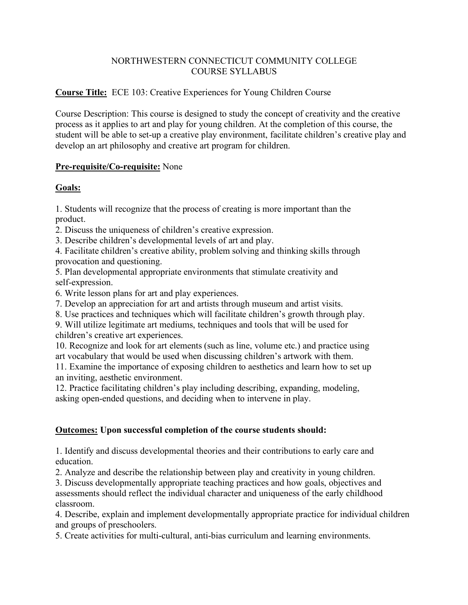## NORTHWESTERN CONNECTICUT COMMUNITY COLLEGE COURSE SYLLABUS

## **Course Title:** ECE 103: Creative Experiences for Young Children Course

Course Description: This course is designed to study the concept of creativity and the creative process as it applies to art and play for young children. At the completion of this course, the student will be able to set-up a creative play environment, facilitate children's creative play and develop an art philosophy and creative art program for children.

#### **Pre-requisite/Co-requisite:** None

# **Goals:**

1. Students will recognize that the process of creating is more important than the product.

2. Discuss the uniqueness of children's creative expression.

3. Describe children's developmental levels of art and play.

4. Facilitate children's creative ability, problem solving and thinking skills through provocation and questioning.

5. Plan developmental appropriate environments that stimulate creativity and self-expression.

6. Write lesson plans for art and play experiences.

7. Develop an appreciation for art and artists through museum and artist visits.

8. Use practices and techniques which will facilitate children's growth through play.

9. Will utilize legitimate art mediums, techniques and tools that will be used for children's creative art experiences.

10. Recognize and look for art elements (such as line, volume etc.) and practice using art vocabulary that would be used when discussing children's artwork with them.

11. Examine the importance of exposing children to aesthetics and learn how to set up an inviting, aesthetic environment.

12. Practice facilitating children's play including describing, expanding, modeling, asking open-ended questions, and deciding when to intervene in play.

# **Outcomes: Upon successful completion of the course students should:**

1. Identify and discuss developmental theories and their contributions to early care and education.

2. Analyze and describe the relationship between play and creativity in young children.

3. Discuss developmentally appropriate teaching practices and how goals, objectives and assessments should reflect the individual character and uniqueness of the early childhood classroom.

4. Describe, explain and implement developmentally appropriate practice for individual children and groups of preschoolers.

5. Create activities for multi-cultural, anti-bias curriculum and learning environments.